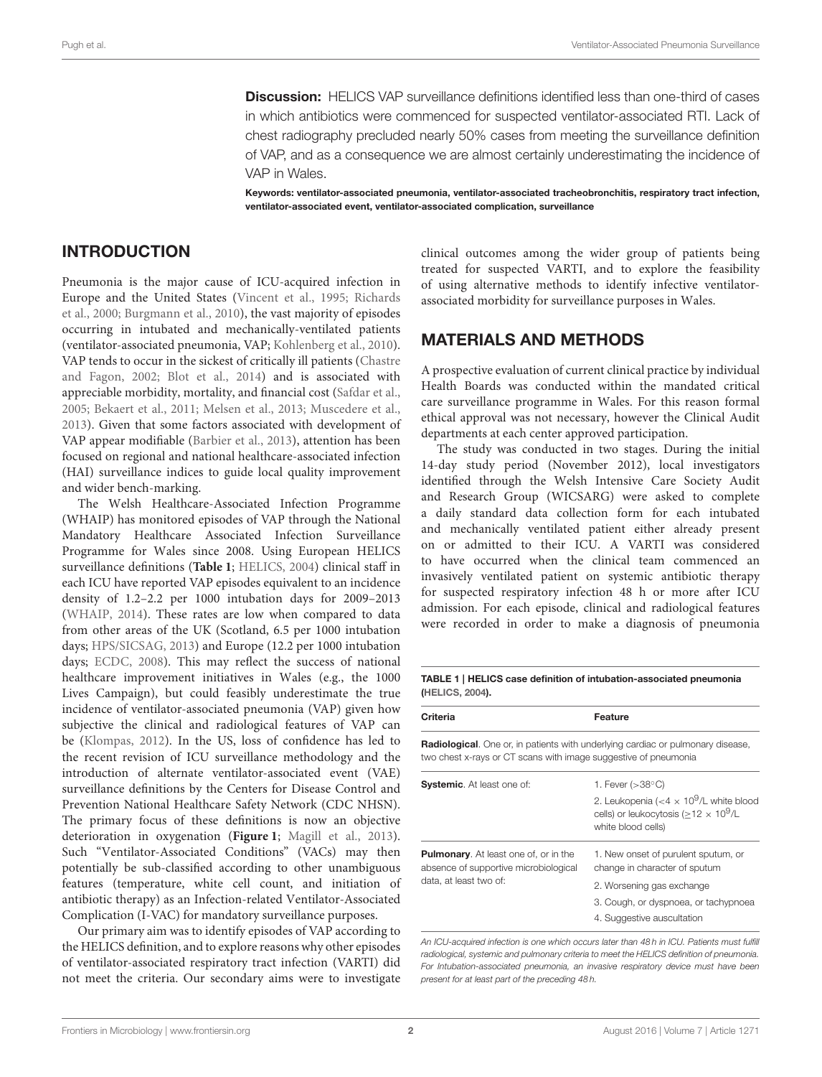**Discussion:** HELICS VAP surveillance definitions identified less than one-third of cases in which antibiotics were commenced for suspected ventilator-associated RTI. Lack of chest radiography precluded nearly 50% cases from meeting the surveillance definition of VAP, and as a consequence we are almost certainly underestimating the incidence of VAP in Wales.

Keywords: ventilator-associated pneumonia, ventilator-associated tracheobronchitis, respiratory tract infection, ventilator-associated event, ventilator-associated complication, surveillance

# INTRODUCTION

Pneumonia is the major cause of ICU-acquired infection in Europe and the United States [\(Vincent et al., 1995;](#page-9-0) Richards et al., [2000;](#page-9-1) [Burgmann et al., 2010\)](#page-8-0), the vast majority of episodes occurring in intubated and mechanically-ventilated patients (ventilator-associated pneumonia, VAP; [Kohlenberg et al., 2010\)](#page-9-2). VAP tends to occur in the sickest of critically ill patients (Chastre and Fagon, [2002;](#page-8-1) [Blot et al., 2014\)](#page-8-2) and is associated with appreciable morbidity, mortality, and financial cost [\(Safdar et al.,](#page-9-3) [2005;](#page-9-3) [Bekaert et al., 2011;](#page-8-3) [Melsen et al., 2013;](#page-9-4) [Muscedere et al.,](#page-9-5) [2013\)](#page-9-5). Given that some factors associated with development of VAP appear modifiable [\(Barbier et al., 2013\)](#page-8-4), attention has been focused on regional and national healthcare-associated infection (HAI) surveillance indices to guide local quality improvement and wider bench-marking.

The Welsh Healthcare-Associated Infection Programme (WHAIP) has monitored episodes of VAP through the National Mandatory Healthcare Associated Infection Surveillance Programme for Wales since 2008. Using European HELICS surveillance definitions (**[Table 1](#page-1-0)**; [HELICS, 2004\)](#page-8-5) clinical staff in each ICU have reported VAP episodes equivalent to an incidence density of 1.2–2.2 per 1000 intubation days for 2009–2013 [\(WHAIP, 2014\)](#page-9-6). These rates are low when compared to data from other areas of the UK (Scotland, 6.5 per 1000 intubation days; [HPS/SICSAG, 2013\)](#page-8-6) and Europe (12.2 per 1000 intubation days; [ECDC, 2008\)](#page-8-7). This may reflect the success of national healthcare improvement initiatives in Wales (e.g., the 1000 Lives Campaign), but could feasibly underestimate the true incidence of ventilator-associated pneumonia (VAP) given how subjective the clinical and radiological features of VAP can be [\(Klompas, 2012\)](#page-9-7). In the US, loss of confidence has led to the recent revision of ICU surveillance methodology and the introduction of alternate ventilator-associated event (VAE) surveillance definitions by the Centers for Disease Control and Prevention National Healthcare Safety Network (CDC NHSN). The primary focus of these definitions is now an objective deterioration in oxygenation (**[Figure 1](#page-2-0)**; [Magill et al., 2013\)](#page-9-8). Such "Ventilator-Associated Conditions" (VACs) may then potentially be sub-classified according to other unambiguous features (temperature, white cell count, and initiation of antibiotic therapy) as an Infection-related Ventilator-Associated Complication (I-VAC) for mandatory surveillance purposes.

Our primary aim was to identify episodes of VAP according to the HELICS definition, and to explore reasons why other episodes of ventilator-associated respiratory tract infection (VARTI) did not meet the criteria. Our secondary aims were to investigate clinical outcomes among the wider group of patients being treated for suspected VARTI, and to explore the feasibility of using alternative methods to identify infective ventilatorassociated morbidity for surveillance purposes in Wales.

# MATERIALS AND METHODS

A prospective evaluation of current clinical practice by individual Health Boards was conducted within the mandated critical care surveillance programme in Wales. For this reason formal ethical approval was not necessary, however the Clinical Audit departments at each center approved participation.

The study was conducted in two stages. During the initial 14-day study period (November 2012), local investigators identified through the Welsh Intensive Care Society Audit and Research Group (WICSARG) were asked to complete a daily standard data collection form for each intubated and mechanically ventilated patient either already present on or admitted to their ICU. A VARTI was considered to have occurred when the clinical team commenced an invasively ventilated patient on systemic antibiotic therapy for suspected respiratory infection 48 h or more after ICU admission. For each episode, clinical and radiological features were recorded in order to make a diagnosis of pneumonia

### <span id="page-1-0"></span>TABLE 1 | HELICS case definition of intubation-associated pneumonia [\(HELICS, 2004\)](#page-8-5).

Criteria **Feature** Radiological. One or, in patients with underlying cardiac or pulmonary disease, two chest x-rays or CT scans with image suggestive of pneumonia Systemic. At least one of: 1. Fever (>38<sup>°C)</sup> 2. Leukopenia (<4  $\times$  10<sup>9</sup>/L white blood cells) or leukocytosis ( $\geq$ 12  $\times$  10<sup>9</sup>/L white blood cells) Pulmonary. At least one of, or in the absence of supportive microbiological data, at least two of: 1. New onset of purulent sputum, or change in character of sputum 2. Worsening gas exchange 3. Cough, or dyspnoea, or tachypnoea 4. Suggestive auscultation

*An ICU-acquired infection is one which occurs later than 48 h in ICU. Patients must fulfill radiological, systemic and pulmonary criteria to meet the HELICS definition of pneumonia. For Intubation-associated pneumonia, an invasive respiratory device must have been present for at least part of the preceding 48 h.*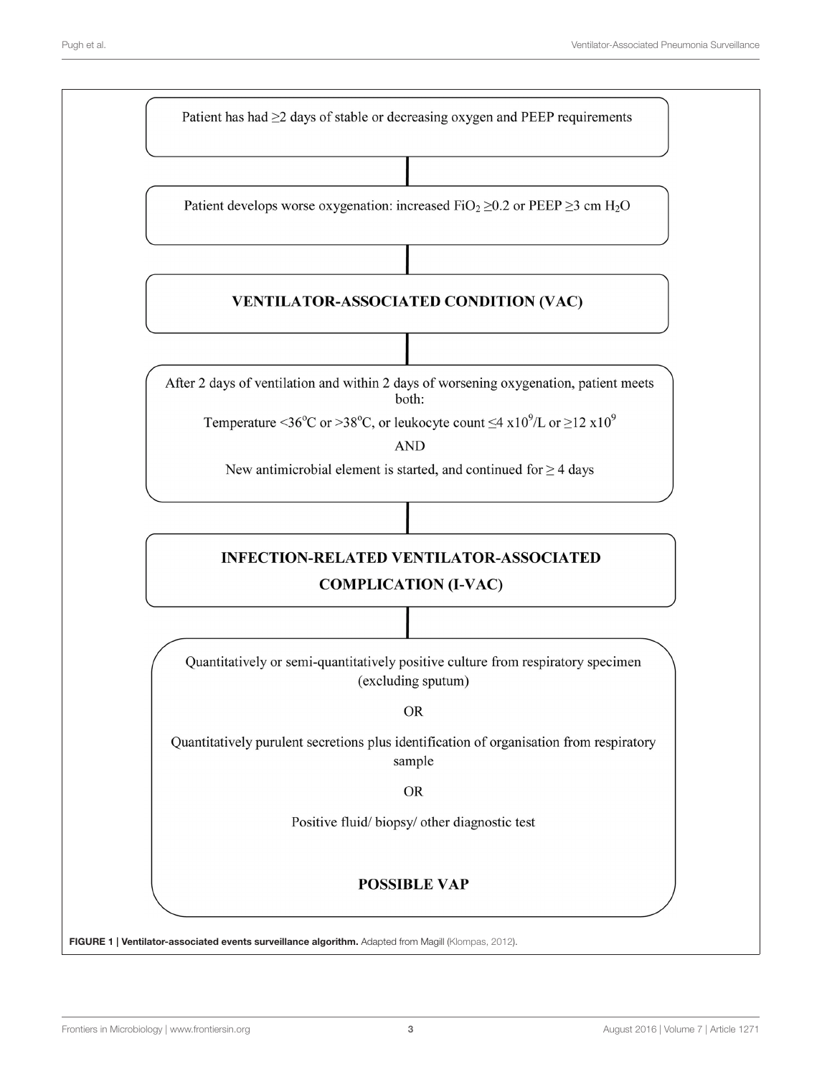<span id="page-2-0"></span>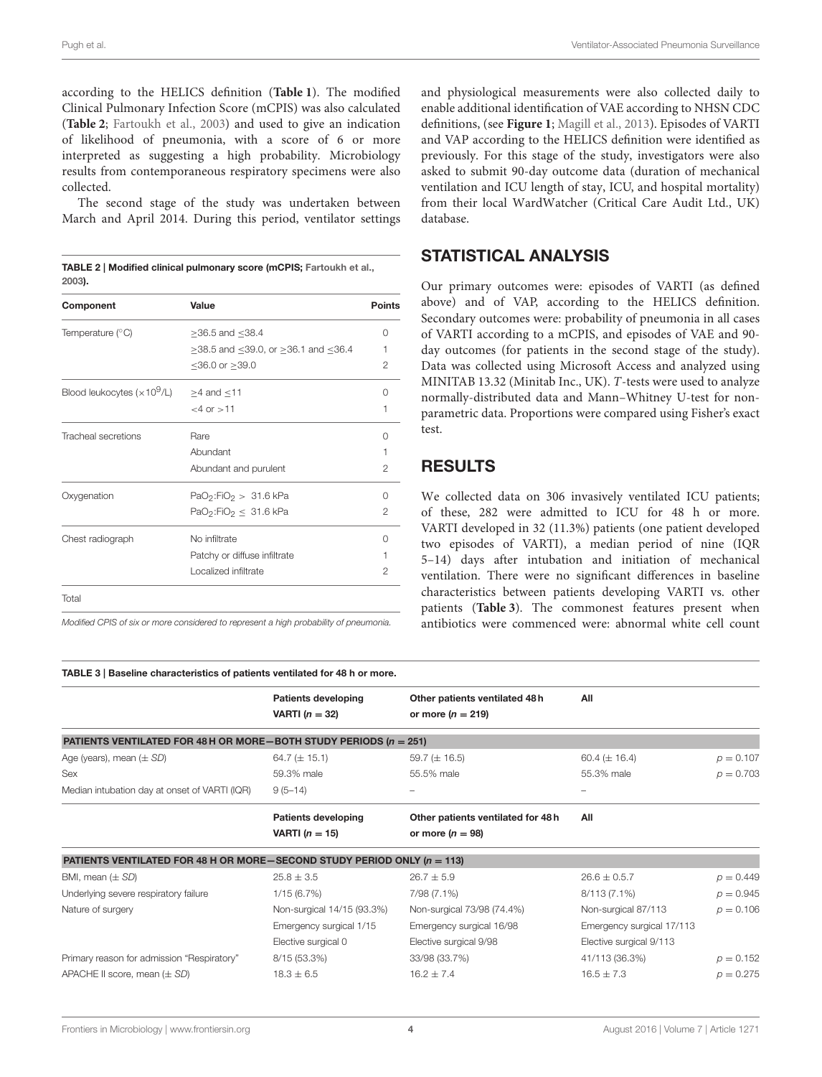according to the HELICS definition (**[Table 1](#page-1-0)**). The modified Clinical Pulmonary Infection Score (mCPIS) was also calculated (**[Table 2](#page-3-0)**; [Fartoukh et al., 2003\)](#page-8-8) and used to give an indication of likelihood of pneumonia, with a score of 6 or more interpreted as suggesting a high probability. Microbiology results from contemporaneous respiratory specimens were also collected.

The second stage of the study was undertaken between March and April 2014. During this period, ventilator settings

<span id="page-3-0"></span>

| TABLE 2   Modified clinical pulmonary score (mCPIS; Fartoukh et al., |  |
|----------------------------------------------------------------------|--|
| 2003).                                                               |  |

| Component                                                   | Value                                              | Points   |
|-------------------------------------------------------------|----------------------------------------------------|----------|
| Temperature $(°C)$                                          | $≥$ 36.5 and $≤$ 38.4                              | Ω        |
|                                                             | $\geq$ 38.5 and ≤39.0, or $\geq$ 36.1 and ≤36.4    | 1        |
|                                                             | ≤36.0 or $≥$ 39.0                                  | 2        |
| Blood leukocytes ( $\times 10^9$ /L) $\geq 4$ and $\leq 11$ |                                                    | Λ        |
|                                                             | $< 4$ or $> 11$                                    | 1        |
| Tracheal secretions                                         | Rare                                               | Ω        |
|                                                             | Abundant                                           | 1        |
|                                                             | Abundant and purulent                              | 2        |
| Oxygenation                                                 | $PaO2:FiO2 > 31.6 kPa$                             | U        |
|                                                             | PaO <sub>2</sub> :FiO <sub>2</sub> $\leq$ 31.6 kPa | 2        |
| Chest radiograph                                            | No infiltrate                                      | $^{(1)}$ |
|                                                             | Patchy or diffuse infiltrate                       |          |
|                                                             | Localized infiltrate                               | 2        |
| Total                                                       |                                                    |          |

*Modified CPIS of six or more considered to represent a high probability of pneumonia.*

and physiological measurements were also collected daily to enable additional identification of VAE according to NHSN CDC definitions, (see **[Figure 1](#page-2-0)**; [Magill et al., 2013\)](#page-9-8). Episodes of VARTI and VAP according to the HELICS definition were identified as previously. For this stage of the study, investigators were also asked to submit 90-day outcome data (duration of mechanical ventilation and ICU length of stay, ICU, and hospital mortality) from their local WardWatcher (Critical Care Audit Ltd., UK) database.

## STATISTICAL ANALYSIS

Our primary outcomes were: episodes of VARTI (as defined above) and of VAP, according to the HELICS definition. Secondary outcomes were: probability of pneumonia in all cases of VARTI according to a mCPIS, and episodes of VAE and 90 day outcomes (for patients in the second stage of the study). Data was collected using Microsoft Access and analyzed using MINITAB 13.32 (Minitab Inc., UK). T-tests were used to analyze normally-distributed data and Mann–Whitney U-test for nonparametric data. Proportions were compared using Fisher's exact test.

# RESULTS

We collected data on 306 invasively ventilated ICU patients; of these, 282 were admitted to ICU for 48 h or more. VARTI developed in 32 (11.3%) patients (one patient developed two episodes of VARTI), a median period of nine (IQR 5–14) days after intubation and initiation of mechanical ventilation. There were no significant differences in baseline characteristics between patients developing VARTI vs. other patients (**[Table 3](#page-3-1)**). The commonest features present when antibiotics were commenced were: abnormal white cell count

<span id="page-3-1"></span>

| TABLE 3   Baseline characteristics of patients ventilated for 48 h or more. |                            |                                   |                           |             |
|-----------------------------------------------------------------------------|----------------------------|-----------------------------------|---------------------------|-------------|
|                                                                             | <b>Patients developing</b> | Other patients ventilated 48h     | All                       |             |
|                                                                             | VARTI $(n = 32)$           | or more $(n = 219)$               |                           |             |
| PATIENTS VENTILATED FOR 48 H OR MORE-BOTH STUDY PERIODS ( $n = 251$ )       |                            |                                   |                           |             |
| Age (years), mean $(\pm SD)$                                                | 64.7 $(\pm 15.1)$          | 59.7 ( $\pm$ 16.5)                | 60.4 ( $\pm$ 16.4)        | $p = 0.107$ |
| Sex                                                                         | 59.3% male                 | 55.5% male                        | 55.3% male                | $p = 0.703$ |
| Median intubation day at onset of VARTI (IQR)                               | $9(5-14)$                  | -                                 |                           |             |
|                                                                             | <b>Patients developing</b> | Other patients ventilated for 48h | All                       |             |
|                                                                             | VARTI ( $n = 15$ )         | or more $(n = 98)$                |                           |             |
| PATIENTS VENTILATED FOR 48 H OR MORE-SECOND STUDY PERIOD ONLY ( $n = 113$ ) |                            |                                   |                           |             |
| BMI, mean $(\pm SD)$                                                        | $25.8 \pm 3.5$             | $26.7 \pm 5.9$                    | $26.6 \pm 0.5.7$          | $p = 0.449$ |
| Underlying severe respiratory failure                                       | 1/15(6.7%)                 | 7/98 (7.1%)                       | 8/113 (7.1%)              | $p = 0.945$ |
| Nature of surgery                                                           | Non-surgical 14/15 (93.3%) | Non-surgical 73/98 (74.4%)        | Non-surgical 87/113       | $p = 0.106$ |
|                                                                             | Emergency surgical 1/15    | Emergency surgical 16/98          | Emergency surgical 17/113 |             |
|                                                                             | Elective surgical 0        | Elective surgical 9/98            | Elective surgical 9/113   |             |
| Primary reason for admission "Respiratory"                                  | 8/15 (53.3%)               | 33/98 (33.7%)                     | 41/113 (36.3%)            | $p = 0.152$ |
| APACHE II score, mean $(\pm SD)$                                            | $18.3 \pm 6.5$             | $16.2 \pm 7.4$                    | $16.5 \pm 7.3$            | $p = 0.275$ |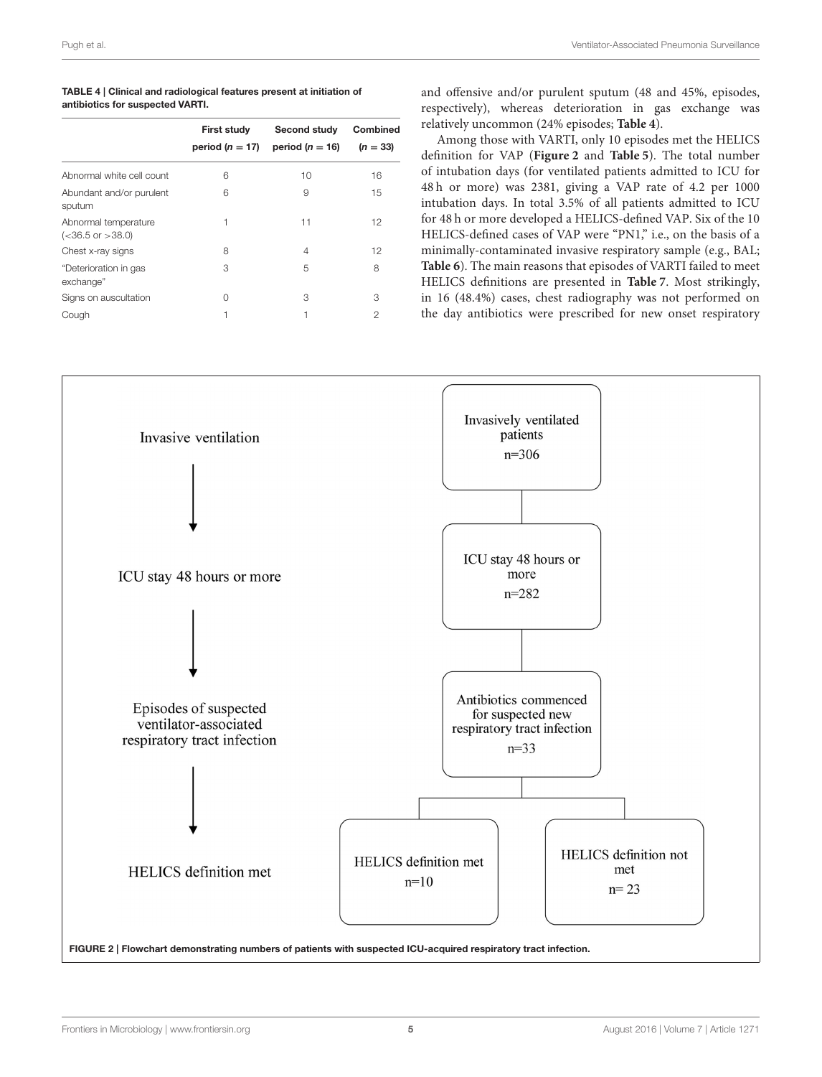<span id="page-4-0"></span>

| TABLE 4   Clinical and radiological features present at initiation of |  |
|-----------------------------------------------------------------------|--|
| antibiotics for suspected VARTI.                                      |  |

| <b>First study</b><br>period $(n = 17)$ | Second study<br>period ( $n = 16$ ) | <b>Combined</b><br>$(n = 33)$ |
|-----------------------------------------|-------------------------------------|-------------------------------|
| 6                                       | 10                                  | 16                            |
| 6                                       | 9                                   | 15                            |
| 1                                       | 11                                  | 12                            |
| 8                                       | 4                                   | 12                            |
| 3                                       | 5                                   | 8                             |
| 0                                       | 3                                   | З                             |
| 1                                       | 1                                   | 2                             |
|                                         |                                     |                               |

and offensive and/or purulent sputum (48 and 45%, episodes, respectively), whereas deterioration in gas exchange was relatively uncommon (24% episodes; **[Table 4](#page-4-0)**).

Among those with VARTI, only 10 episodes met the HELICS definition for VAP (**[Figure 2](#page-4-1)** and **[Table 5](#page-5-0)**). The total number of intubation days (for ventilated patients admitted to ICU for 48 h or more) was 2381, giving a VAP rate of 4.2 per 1000 intubation days. In total 3.5% of all patients admitted to ICU for 48 h or more developed a HELICS-defined VAP. Six of the 10 HELICS-defined cases of VAP were "PN1," i.e., on the basis of a minimally-contaminated invasive respiratory sample (e.g., BAL; **[Table 6](#page-5-1)**). The main reasons that episodes of VARTI failed to meet HELICS definitions are presented in **[Table 7](#page-5-2)**. Most strikingly, in 16 (48.4%) cases, chest radiography was not performed on the day antibiotics were prescribed for new onset respiratory

<span id="page-4-1"></span>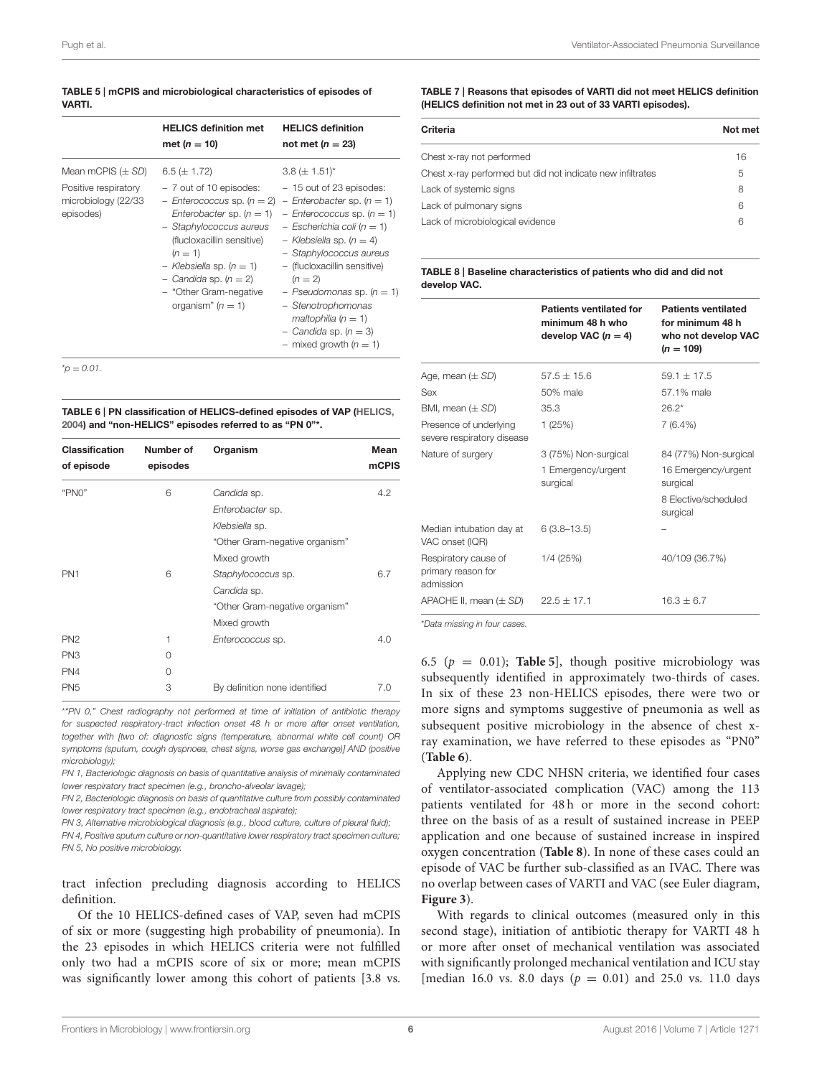### <span id="page-5-0"></span>TABLE 5 | mCPIS and microbiological characteristics of episodes of VARTI.

|                                                                                   | <b>HELICS definition met</b><br>met ( <i>n</i> = 10)                                                                                                                                                                                                                                          | <b>HELICS definition</b><br>not met ( $n = 23$ )                                                                                                                                                                                                                                                                                                                                            |
|-----------------------------------------------------------------------------------|-----------------------------------------------------------------------------------------------------------------------------------------------------------------------------------------------------------------------------------------------------------------------------------------------|---------------------------------------------------------------------------------------------------------------------------------------------------------------------------------------------------------------------------------------------------------------------------------------------------------------------------------------------------------------------------------------------|
| Mean mCPIS $(\pm SD)$<br>Positive respiratory<br>microbiology (22/33<br>episodes) | $6.5 (\pm 1.72)$<br>- 7 out of 10 episodes:<br>$-$ Enterococcus sp. ( $n = 2$ )<br>Enterobacter sp. $(n = 1)$<br>- Staphylococcus aureus<br>(flucloxacillin sensitive)<br>$(n = 1)$<br>- Klebsiella sp. $(n = 1)$<br>$-$ Candida sp. (n = 2)<br>- "Other Gram-negative<br>organism" $(n = 1)$ | $3.8 (\pm 1.51)^{*}$<br>- 15 out of 23 episodes:<br>- Enterobacter sp. $(n = 1)$<br>$-$ Enterococcus sp. (n = 1)<br>$-$ Escherichia coli (n = 1)<br>$-$ Klebsiella sp. (n = 4)<br>- Staphylococcus aureus<br>- (flucloxacillin sensitive)<br>$(n = 2)$<br>- Pseudomonas sp. $(n = 1)$<br>- Stenotrophomonas<br>maltophilia $(n = 1)$<br>- Candida sp. $(n = 3)$<br>- mixed growth $(n = 1)$ |

 $^{\star}$ *p* = 0.01.

<span id="page-5-1"></span>TABLE 6 | PN classification of HELICS-defined episodes of VAP [\(HELICS,](#page-8-5) [2004\)](#page-8-5) and "non-HELICS" episodes referred to as "PN 0"\*.

| <b>Classification</b><br>of episode | Number of<br>episodes | Organism                       | Mean<br><b>mCPIS</b> |
|-------------------------------------|-----------------------|--------------------------------|----------------------|
| "PNO"                               | 6                     | Candida sp.                    | 4.2                  |
|                                     |                       | Enterobacter sp.               |                      |
|                                     |                       | Klebsiella sp.                 |                      |
|                                     |                       | "Other Gram-negative organism" |                      |
|                                     |                       | Mixed growth                   |                      |
| PN <sub>1</sub>                     | 6                     | Staphylococcus sp.             | 6.7                  |
|                                     |                       | Candida sp.                    |                      |
|                                     |                       | "Other Gram-negative organism" |                      |
|                                     |                       | Mixed growth                   |                      |
| PN <sub>2</sub>                     | 1                     | Enterococcus sp.               | 4.0                  |
| PN <sub>3</sub>                     | 0                     |                                |                      |
| PN4                                 | 0                     |                                |                      |
| PN <sub>5</sub>                     | 3                     | By definition none identified  | 7.0                  |

\**"PN 0," Chest radiography not performed at time of initiation of antibiotic therapy for suspected respiratory-tract infection onset 48 h or more after onset ventilation, together with [two of: diagnostic signs (temperature, abnormal white cell count) OR symptoms (sputum, cough dyspnoea, chest signs, worse gas exchange)] AND (positive microbiology);*

*PN 1, Bacteriologic diagnosis on basis of quantitative analysis of minimally contaminated lower respiratory tract specimen (e.g., broncho-alveolar lavage);*

*PN 2, Bacteriologic diagnosis on basis of quantitative culture from possibly contaminated lower respiratory tract specimen (e.g., endotracheal aspirate);*

*PN 3, Alternative microbiological diagnosis (e.g., blood culture, culture of pleural fluid);*

*PN 4, Positive sputum culture or non-quantitative lower respiratory tract specimen culture; PN 5, No positive microbiology.*

tract infection precluding diagnosis according to HELICS definition.

Of the 10 HELICS-defined cases of VAP, seven had mCPIS of six or more (suggesting high probability of pneumonia). In the 23 episodes in which HELICS criteria were not fulfilled only two had a mCPIS score of six or more; mean mCPIS was significantly lower among this cohort of patients [3.8 vs.

### <span id="page-5-2"></span>TABLE 7 | Reasons that episodes of VARTI did not meet HELICS definition (HELICS definition not met in 23 out of 33 VARTI episodes).

| Criteria                                                   | Not met |
|------------------------------------------------------------|---------|
| Chest x-ray not performed                                  | 16      |
| Chest x-ray performed but did not indicate new infiltrates | 5       |
| Lack of systemic signs                                     | 8       |
| Lack of pulmonary signs                                    | 6       |
| Lack of microbiological evidence                           | 6       |

<span id="page-5-3"></span>TABLE 8 | Baseline characteristics of patients who did and did not develop VAC.

|                                                         | <b>Patients ventilated for</b><br>minimum 48 h who<br>develop VAC $(n = 4)$ | <b>Patients ventilated</b><br>for minimum 48 h<br>who not develop VAC<br>$(n = 109)$ |
|---------------------------------------------------------|-----------------------------------------------------------------------------|--------------------------------------------------------------------------------------|
| Age, mean $(\pm SD)$                                    | $57.5 + 15.6$                                                               | $591 + 175$                                                                          |
| Sex                                                     | 50% male                                                                    | 57.1% male                                                                           |
| BMI, mean $(\pm SD)$                                    | 35.3                                                                        | $26.2*$                                                                              |
| Presence of underlying<br>severe respiratory disease    | 1(25%)                                                                      | $7(6.4\%)$                                                                           |
| Nature of surgery                                       | 3 (75%) Non-surgical                                                        | 84 (77%) Non-surgical                                                                |
|                                                         | 1 Emergency/urgent<br>surgical                                              | 16 Emergency/urgent<br>surgical                                                      |
|                                                         |                                                                             | 8 Elective/scheduled<br>surgical                                                     |
| Median intubation day at<br>VAC onset (IQR)             | $6(3.8 - 13.5)$                                                             |                                                                                      |
| Respiratory cause of<br>primary reason for<br>admission | 1/4 (25%)                                                                   | 40/109 (36.7%)                                                                       |
| APACHE II, mean (± SD)                                  | $22.5 + 17.1$                                                               | $16.3 + 6.7$                                                                         |

\**Data missing in four cases.*

6.5 ( $p = 0.01$ ); **[Table 5](#page-5-0)**, though positive microbiology was subsequently identified in approximately two-thirds of cases. In six of these 23 non-HELICS episodes, there were two or more signs and symptoms suggestive of pneumonia as well as subsequent positive microbiology in the absence of chest xray examination, we have referred to these episodes as "PN0" (**[Table 6](#page-5-1)**).

Applying new CDC NHSN criteria, we identified four cases of ventilator-associated complication (VAC) among the 113 patients ventilated for 48 h or more in the second cohort: three on the basis of as a result of sustained increase in PEEP application and one because of sustained increase in inspired oxygen concentration (**[Table 8](#page-5-3)**). In none of these cases could an episode of VAC be further sub-classified as an IVAC. There was no overlap between cases of VARTI and VAC (see Euler diagram, **[Figure 3](#page-6-0)**).

With regards to clinical outcomes (measured only in this second stage), initiation of antibiotic therapy for VARTI 48 h or more after onset of mechanical ventilation was associated with significantly prolonged mechanical ventilation and ICU stay [median 16.0 vs. 8.0 days ( $p = 0.01$ ) and 25.0 vs. 11.0 days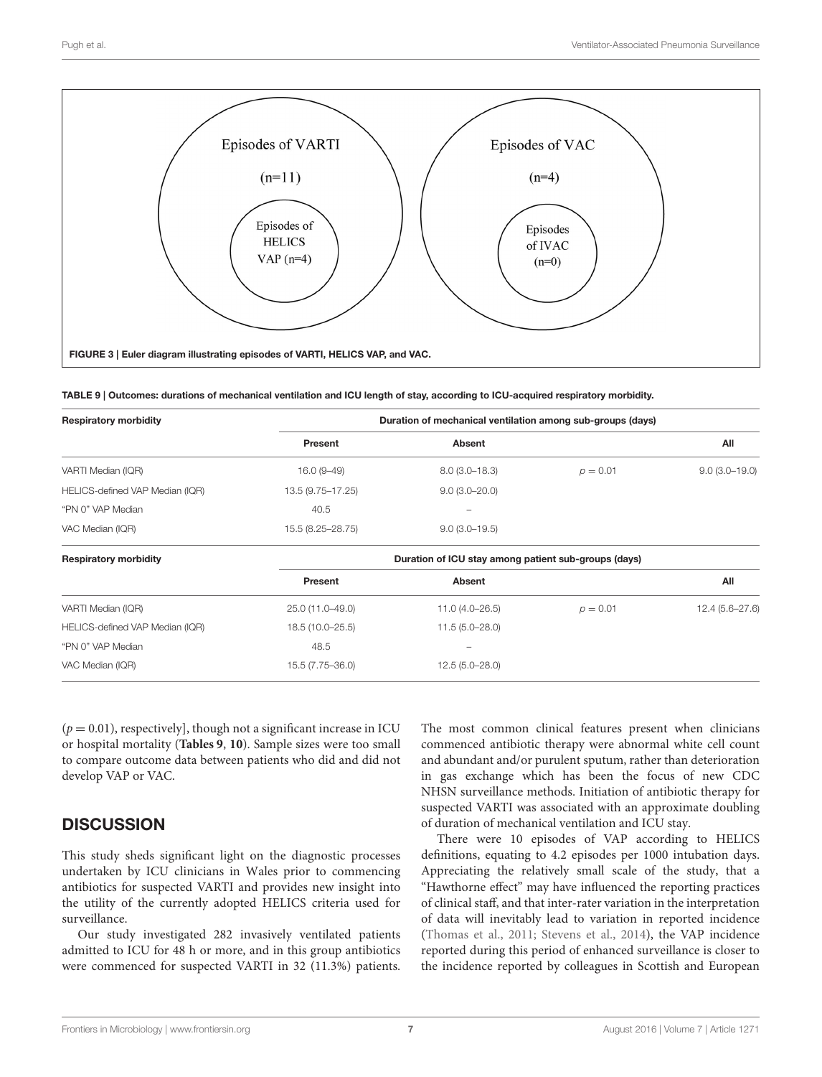

<span id="page-6-1"></span><span id="page-6-0"></span>TABLE 9 | Outcomes: durations of mechanical ventilation and ICU length of stay, according to ICU-acquired respiratory morbidity.

| <b>Respiratory morbidity</b>    |                   | Duration of mechanical ventilation among sub-groups (days) |            |                 |
|---------------------------------|-------------------|------------------------------------------------------------|------------|-----------------|
|                                 | Present           | Absent                                                     |            | All             |
| VARTI Median (IQR)              | $16.0(9-49)$      | $8.0(3.0-18.3)$                                            | $p = 0.01$ | $9.0(3.0-19.0)$ |
| HELICS-defined VAP Median (IQR) | 13.5 (9.75–17.25) | $9.0(3.0 - 20.0)$                                          |            |                 |
| "PN 0" VAP Median               | 40.5              |                                                            |            |                 |
| VAC Median (IQR)                | 15.5 (8.25-28.75) | $9.0(3.0-19.5)$                                            |            |                 |
| <b>Respiratory morbidity</b>    |                   | Duration of ICU stay among patient sub-groups (days)       |            |                 |
|                                 | Present           | <b>Absent</b>                                              |            | All             |
| VARTI Median (IQR)              | 25.0 (11.0-49.0)  | $11.0(4.0 - 26.5)$                                         | $p = 0.01$ | 12.4 (5.6-27.6) |
| HELICS-defined VAP Median (IQR) | 18.5 (10.0-25.5)  | $11.5(5.0-28.0)$                                           |            |                 |
| "PN 0" VAP Median               | 48.5              |                                                            |            |                 |
| VAC Median (IQR)                | 15.5 (7.75-36.0)  | $12.5(5.0-28.0)$                                           |            |                 |

 $(p = 0.01)$ , respectively], though not a significant increase in ICU or hospital mortality (**[Tables 9](#page-6-1)**, **[10](#page-7-0)**). Sample sizes were too small to compare outcome data between patients who did and did not develop VAP or VAC.

# **DISCUSSION**

This study sheds significant light on the diagnostic processes undertaken by ICU clinicians in Wales prior to commencing antibiotics for suspected VARTI and provides new insight into the utility of the currently adopted HELICS criteria used for surveillance.

Our study investigated 282 invasively ventilated patients admitted to ICU for 48 h or more, and in this group antibiotics were commenced for suspected VARTI in 32 (11.3%) patients.

The most common clinical features present when clinicians commenced antibiotic therapy were abnormal white cell count and abundant and/or purulent sputum, rather than deterioration in gas exchange which has been the focus of new CDC NHSN surveillance methods. Initiation of antibiotic therapy for suspected VARTI was associated with an approximate doubling of duration of mechanical ventilation and ICU stay.

There were 10 episodes of VAP according to HELICS definitions, equating to 4.2 episodes per 1000 intubation days. Appreciating the relatively small scale of the study, that a "Hawthorne effect" may have influenced the reporting practices of clinical staff, and that inter-rater variation in the interpretation of data will inevitably lead to variation in reported incidence [\(Thomas et al., 2011;](#page-9-9) [Stevens et al., 2014\)](#page-9-10), the VAP incidence reported during this period of enhanced surveillance is closer to the incidence reported by colleagues in Scottish and European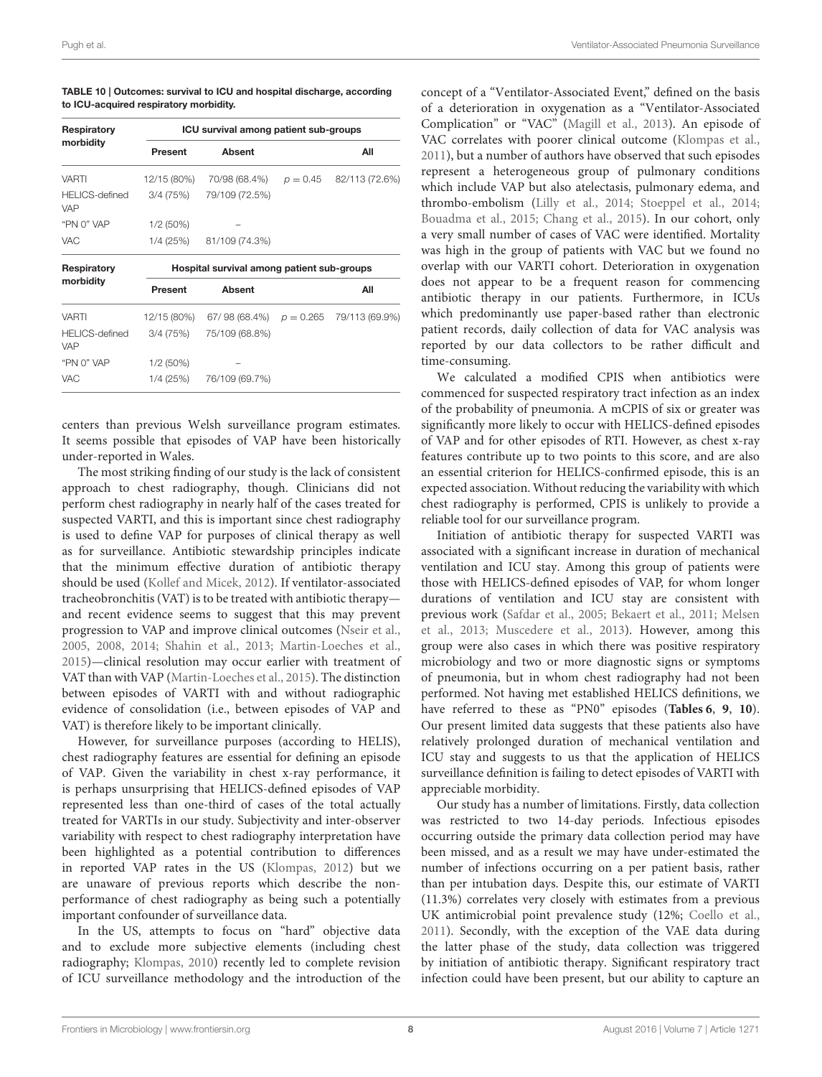<span id="page-7-0"></span>

| TABLE 10   Outcomes: survival to ICU and hospital discharge, according |  |
|------------------------------------------------------------------------|--|
| to ICU-acquired respiratory morbidity.                                 |  |

| Respiratory                         |                | ICU survival among patient sub-groups      |             |                           |
|-------------------------------------|----------------|--------------------------------------------|-------------|---------------------------|
| morbidity                           | <b>Present</b> | <b>Absent</b>                              |             | All                       |
| <b>VARTI</b>                        | 12/15 (80%)    | 70/98 (68.4%)                              |             | $p = 0.45$ 82/113 (72.6%) |
| <b>HELICS-defined</b><br><b>VAP</b> | 3/4 (75%)      | 79/109 (72.5%)                             |             |                           |
| "PN 0" VAP                          | $1/2(50\%)$    |                                            |             |                           |
| <b>VAC</b>                          |                | 1/4 (25%) 81/109 (74.3%)                   |             |                           |
|                                     |                |                                            |             |                           |
| Respiratory                         |                | Hospital survival among patient sub-groups |             |                           |
| morbidity                           | Present        | <b>Absent</b>                              |             | All                       |
| VARTI                               | 12/15 (80%)    | 67/98 (68.4%)                              | $p = 0.265$ | 79/113 (69.9%)            |
| <b>HELICS-defined</b><br><b>VAP</b> | 3/4 (75%)      | 75/109 (68.8%)                             |             |                           |
| "PN 0" VAP                          | $1/2(50\%)$    |                                            |             |                           |

centers than previous Welsh surveillance program estimates. It seems possible that episodes of VAP have been historically under-reported in Wales.

The most striking finding of our study is the lack of consistent approach to chest radiography, though. Clinicians did not perform chest radiography in nearly half of the cases treated for suspected VARTI, and this is important since chest radiography is used to define VAP for purposes of clinical therapy as well as for surveillance. Antibiotic stewardship principles indicate that the minimum effective duration of antibiotic therapy should be used [\(Kollef and Micek, 2012\)](#page-9-11). If ventilator-associated tracheobronchitis (VAT) is to be treated with antibiotic therapy and recent evidence seems to suggest that this may prevent progression to VAP and improve clinical outcomes [\(Nseir et al.,](#page-9-12) [2005,](#page-9-12) [2008,](#page-9-13) [2014;](#page-9-14) [Shahin et al., 2013;](#page-9-15) [Martin-Loeches et al.,](#page-9-16) [2015\)](#page-9-16)—clinical resolution may occur earlier with treatment of VAT than with VAP [\(Martin-Loeches et al., 2015\)](#page-9-16). The distinction between episodes of VARTI with and without radiographic evidence of consolidation (i.e., between episodes of VAP and VAT) is therefore likely to be important clinically.

However, for surveillance purposes (according to HELIS), chest radiography features are essential for defining an episode of VAP. Given the variability in chest x-ray performance, it is perhaps unsurprising that HELICS-defined episodes of VAP represented less than one-third of cases of the total actually treated for VARTIs in our study. Subjectivity and inter-observer variability with respect to chest radiography interpretation have been highlighted as a potential contribution to differences in reported VAP rates in the US [\(Klompas, 2012\)](#page-9-7) but we are unaware of previous reports which describe the nonperformance of chest radiography as being such a potentially important confounder of surveillance data.

In the US, attempts to focus on "hard" objective data and to exclude more subjective elements (including chest radiography; [Klompas, 2010\)](#page-9-17) recently led to complete revision of ICU surveillance methodology and the introduction of the concept of a "Ventilator-Associated Event," defined on the basis of a deterioration in oxygenation as a "Ventilator-Associated Complication" or "VAC" [\(Magill et al., 2013\)](#page-9-8). An episode of VAC correlates with poorer clinical outcome [\(Klompas et al.,](#page-9-18) [2011\)](#page-9-18), but a number of authors have observed that such episodes represent a heterogeneous group of pulmonary conditions which include VAP but also atelectasis, pulmonary edema, and thrombo-embolism [\(Lilly et al., 2014;](#page-9-19) [Stoeppel et al., 2014;](#page-9-20) [Bouadma et al., 2015;](#page-8-9) [Chang et al., 2015\)](#page-8-10). In our cohort, only a very small number of cases of VAC were identified. Mortality was high in the group of patients with VAC but we found no overlap with our VARTI cohort. Deterioration in oxygenation does not appear to be a frequent reason for commencing antibiotic therapy in our patients. Furthermore, in ICUs which predominantly use paper-based rather than electronic patient records, daily collection of data for VAC analysis was reported by our data collectors to be rather difficult and time-consuming.

We calculated a modified CPIS when antibiotics were commenced for suspected respiratory tract infection as an index of the probability of pneumonia. A mCPIS of six or greater was significantly more likely to occur with HELICS-defined episodes of VAP and for other episodes of RTI. However, as chest x-ray features contribute up to two points to this score, and are also an essential criterion for HELICS-confirmed episode, this is an expected association. Without reducing the variability with which chest radiography is performed, CPIS is unlikely to provide a reliable tool for our surveillance program.

Initiation of antibiotic therapy for suspected VARTI was associated with a significant increase in duration of mechanical ventilation and ICU stay. Among this group of patients were those with HELICS-defined episodes of VAP, for whom longer durations of ventilation and ICU stay are consistent with previous work [\(Safdar et al., 2005;](#page-9-3) [Bekaert et al., 2011;](#page-8-3) Melsen et al., [2013;](#page-9-4) [Muscedere et al., 2013\)](#page-9-5). However, among this group were also cases in which there was positive respiratory microbiology and two or more diagnostic signs or symptoms of pneumonia, but in whom chest radiography had not been performed. Not having met established HELICS definitions, we have referred to these as "PN0" episodes (**[Tables 6](#page-5-1)**, **[9](#page-6-1)**, **[10](#page-7-0)**). Our present limited data suggests that these patients also have relatively prolonged duration of mechanical ventilation and ICU stay and suggests to us that the application of HELICS surveillance definition is failing to detect episodes of VARTI with appreciable morbidity.

Our study has a number of limitations. Firstly, data collection was restricted to two 14-day periods. Infectious episodes occurring outside the primary data collection period may have been missed, and as a result we may have under-estimated the number of infections occurring on a per patient basis, rather than per intubation days. Despite this, our estimate of VARTI (11.3%) correlates very closely with estimates from a previous UK antimicrobial point prevalence study (12%; [Coello et al.,](#page-8-11) [2011\)](#page-8-11). Secondly, with the exception of the VAE data during the latter phase of the study, data collection was triggered by initiation of antibiotic therapy. Significant respiratory tract infection could have been present, but our ability to capture an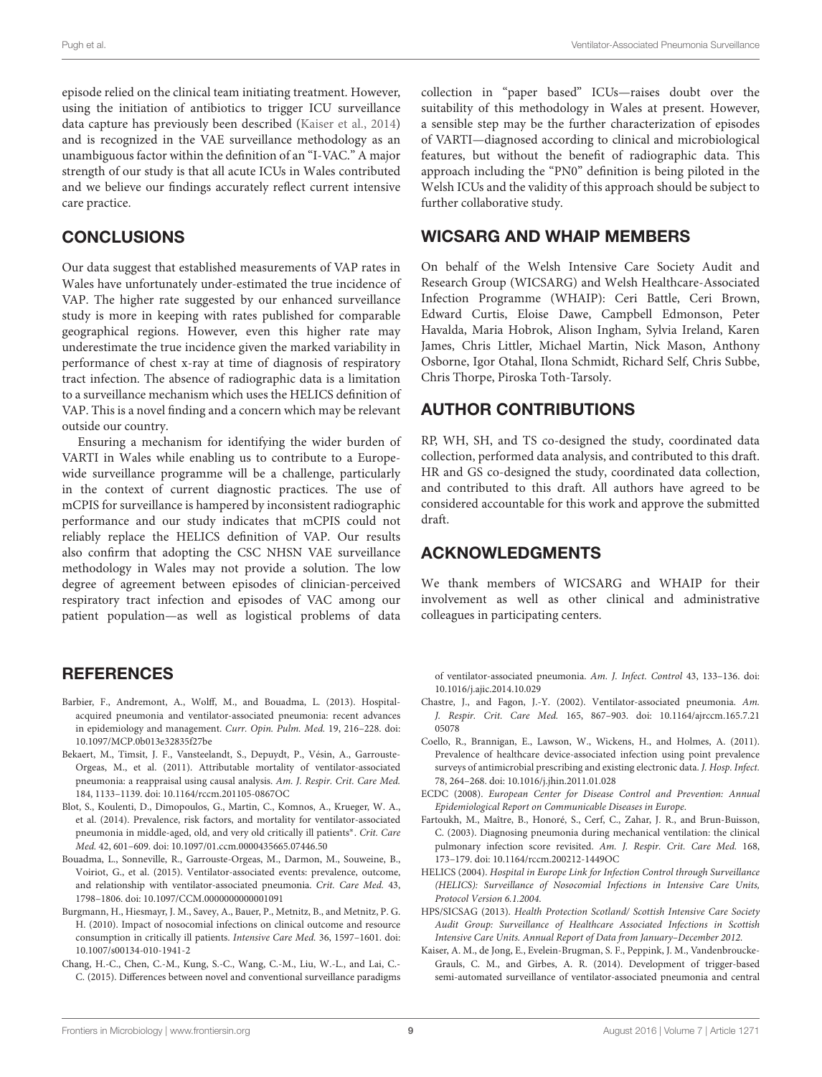episode relied on the clinical team initiating treatment. However, using the initiation of antibiotics to trigger ICU surveillance data capture has previously been described [\(Kaiser et al., 2014\)](#page-8-12) and is recognized in the VAE surveillance methodology as an unambiguous factor within the definition of an "I-VAC." A major strength of our study is that all acute ICUs in Wales contributed and we believe our findings accurately reflect current intensive care practice.

# CONCLUSIONS

Our data suggest that established measurements of VAP rates in Wales have unfortunately under-estimated the true incidence of VAP. The higher rate suggested by our enhanced surveillance study is more in keeping with rates published for comparable geographical regions. However, even this higher rate may underestimate the true incidence given the marked variability in performance of chest x-ray at time of diagnosis of respiratory tract infection. The absence of radiographic data is a limitation to a surveillance mechanism which uses the HELICS definition of VAP. This is a novel finding and a concern which may be relevant outside our country.

Ensuring a mechanism for identifying the wider burden of VARTI in Wales while enabling us to contribute to a Europewide surveillance programme will be a challenge, particularly in the context of current diagnostic practices. The use of mCPIS for surveillance is hampered by inconsistent radiographic performance and our study indicates that mCPIS could not reliably replace the HELICS definition of VAP. Our results also confirm that adopting the CSC NHSN VAE surveillance methodology in Wales may not provide a solution. The low degree of agreement between episodes of clinician-perceived respiratory tract infection and episodes of VAC among our patient population—as well as logistical problems of data

# **REFERENCES**

- <span id="page-8-4"></span>Barbier, F., Andremont, A., Wolff, M., and Bouadma, L. (2013). Hospitalacquired pneumonia and ventilator-associated pneumonia: recent advances in epidemiology and management. Curr. Opin. Pulm. Med. 19, 216–228. doi: 10.1097/MCP.0b013e32835f27be
- <span id="page-8-3"></span>Bekaert, M., Timsit, J. F., Vansteelandt, S., Depuydt, P., Vésin, A., Garrouste-Orgeas, M., et al. (2011). Attributable mortality of ventilator-associated pneumonia: a reappraisal using causal analysis. Am. J. Respir. Crit. Care Med. 184, 1133–1139. doi: 10.1164/rccm.201105-0867OC
- <span id="page-8-2"></span>Blot, S., Koulenti, D., Dimopoulos, G., Martin, C., Komnos, A., Krueger, W. A., et al. (2014). Prevalence, risk factors, and mortality for ventilator-associated pneumonia in middle-aged, old, and very old critically ill patients<sup>\*</sup>. Crit. Care Med. 42, 601–609. doi: 10.1097/01.ccm.0000435665.07446.50
- <span id="page-8-9"></span>Bouadma, L., Sonneville, R., Garrouste-Orgeas, M., Darmon, M., Souweine, B., Voiriot, G., et al. (2015). Ventilator-associated events: prevalence, outcome, and relationship with ventilator-associated pneumonia. Crit. Care Med. 43, 1798–1806. doi: 10.1097/CCM.0000000000001091
- <span id="page-8-0"></span>Burgmann, H., Hiesmayr, J. M., Savey, A., Bauer, P., Metnitz, B., and Metnitz, P. G. H. (2010). Impact of nosocomial infections on clinical outcome and resource consumption in critically ill patients. Intensive Care Med. 36, 1597–1601. doi: 10.1007/s00134-010-1941-2
- <span id="page-8-10"></span>Chang, H.-C., Chen, C.-M., Kung, S.-C., Wang, C.-M., Liu, W.-L., and Lai, C.- C. (2015). Differences between novel and conventional surveillance paradigms

collection in "paper based" ICUs—raises doubt over the suitability of this methodology in Wales at present. However, a sensible step may be the further characterization of episodes of VARTI—diagnosed according to clinical and microbiological features, but without the benefit of radiographic data. This approach including the "PN0" definition is being piloted in the Welsh ICUs and the validity of this approach should be subject to further collaborative study.

## WICSARG AND WHAIP MEMBERS

On behalf of the Welsh Intensive Care Society Audit and Research Group (WICSARG) and Welsh Healthcare-Associated Infection Programme (WHAIP): Ceri Battle, Ceri Brown, Edward Curtis, Eloise Dawe, Campbell Edmonson, Peter Havalda, Maria Hobrok, Alison Ingham, Sylvia Ireland, Karen James, Chris Littler, Michael Martin, Nick Mason, Anthony Osborne, Igor Otahal, Ilona Schmidt, Richard Self, Chris Subbe, Chris Thorpe, Piroska Toth-Tarsoly.

# AUTHOR CONTRIBUTIONS

RP, WH, SH, and TS co-designed the study, coordinated data collection, performed data analysis, and contributed to this draft. HR and GS co-designed the study, coordinated data collection, and contributed to this draft. All authors have agreed to be considered accountable for this work and approve the submitted draft.

## ACKNOWLEDGMENTS

We thank members of WICSARG and WHAIP for their involvement as well as other clinical and administrative colleagues in participating centers.

of ventilator-associated pneumonia. Am. J. Infect. Control 43, 133–136. doi: 10.1016/j.ajic.2014.10.029

- <span id="page-8-1"></span>Chastre, J., and Fagon, J.-Y. (2002). Ventilator-associated pneumonia. Am. J. Respir. Crit. Care Med. 165, 867–903. doi: 10.1164/ajrccm.165.7.21 05078
- <span id="page-8-11"></span>Coello, R., Brannigan, E., Lawson, W., Wickens, H., and Holmes, A. (2011). Prevalence of healthcare device-associated infection using point prevalence surveys of antimicrobial prescribing and existing electronic data. J. Hosp. Infect. 78, 264–268. doi: 10.1016/j.jhin.2011.01.028
- <span id="page-8-7"></span>ECDC (2008). European Center for Disease Control and Prevention: Annual Epidemiological Report on Communicable Diseases in Europe.
- <span id="page-8-8"></span>Fartoukh, M., Maître, B., Honoré, S., Cerf, C., Zahar, J. R., and Brun-Buisson, C. (2003). Diagnosing pneumonia during mechanical ventilation: the clinical pulmonary infection score revisited. Am. J. Respir. Crit. Care Med. 168, 173–179. doi: 10.1164/rccm.200212-1449OC
- <span id="page-8-5"></span>HELICS (2004). Hospital in Europe Link for Infection Control through Surveillance (HELICS): Surveillance of Nosocomial Infections in Intensive Care Units, Protocol Version 6.1.2004.
- <span id="page-8-6"></span>HPS/SICSAG (2013). Health Protection Scotland/ Scottish Intensive Care Society Audit Group: Surveillance of Healthcare Associated Infections in Scottish Intensive Care Units. Annual Report of Data from January–December 2012.
- <span id="page-8-12"></span>Kaiser, A. M., de Jong, E., Evelein-Brugman, S. F., Peppink, J. M., Vandenbroucke-Grauls, C. M., and Girbes, A. R. (2014). Development of trigger-based semi-automated surveillance of ventilator-associated pneumonia and central